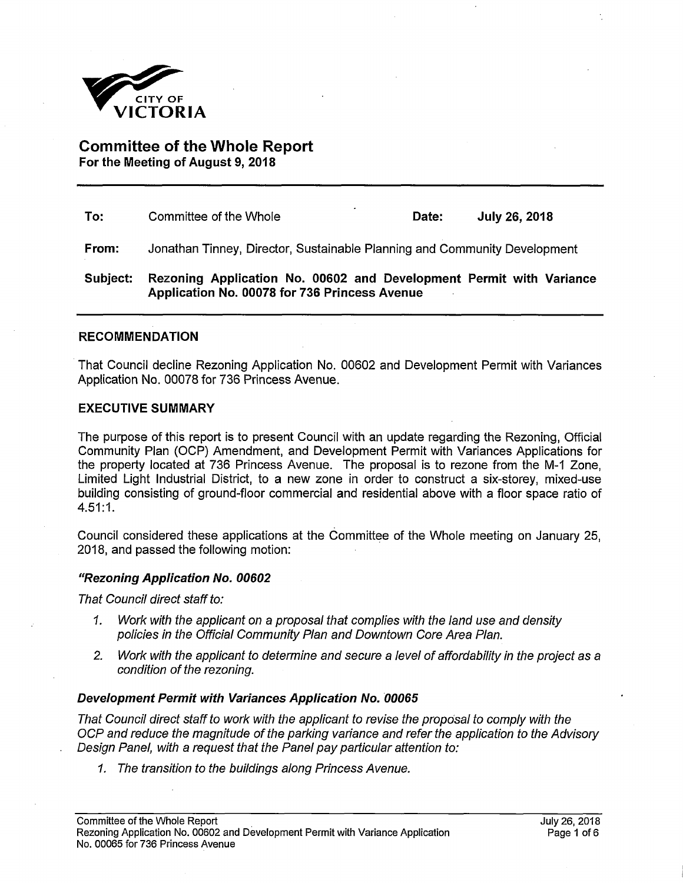

**Committee of the Whole Report For the Meeting of August 9, 2018** 

| To:      | ٠<br>Committee of the Whole                                                                                          | Date: | <b>July 26, 2018</b> |  |
|----------|----------------------------------------------------------------------------------------------------------------------|-------|----------------------|--|
| From:    | Jonathan Tinney, Director, Sustainable Planning and Community Development                                            |       |                      |  |
| Subject: | Rezoning Application No. 00602 and Development Permit with Variance<br>Application No. 00078 for 736 Princess Avenue |       |                      |  |

## **RECOMMENDATION**

That Council decline Rezoning Application No. 00602 and Development Permit with Variances Application No. 00078 for 736 Princess Avenue.

### **EXECUTIVE SUMMARY**

The purpose of this report is to present Council with an update regarding the Rezoning, Official Community Plan (OCP) Amendment, and Development Permit with Variances Applications for the property located at 736 Princess Avenue. The proposal is to rezone from the M-1 Zone, Limited Light Industrial District, to a new zone in order to construct a six-storey, mixed-use building consisting of ground-floor commercial and residential above with a floor space ratio of 4.51:1.

Council considered these applications at the Committee of the Whole meeting on January 25, 2018, and passed the following motion:

### *"Rezoning Application No. 00602*

*That Council direct staff to:* 

- *1. Work with the applicant on a proposal that complies with the land use and density policies in the Official Community Plan and Downtown Core Area Plan.*
- *2. Work with the applicant to determine and secure a level of affordability in the project as a condition of the rezoning.*

## *Development Permit with Variances Application No. 00065*

*That Council direct staff to work with the applicant to revise the proposal to comply with the OCP and reduce the magnitude of the parking variance and refer the application to the Advisory Design Panel, with a request that the Panel pay particular attention to:* 

*1. The transition to the buildings along Princess Avenue.*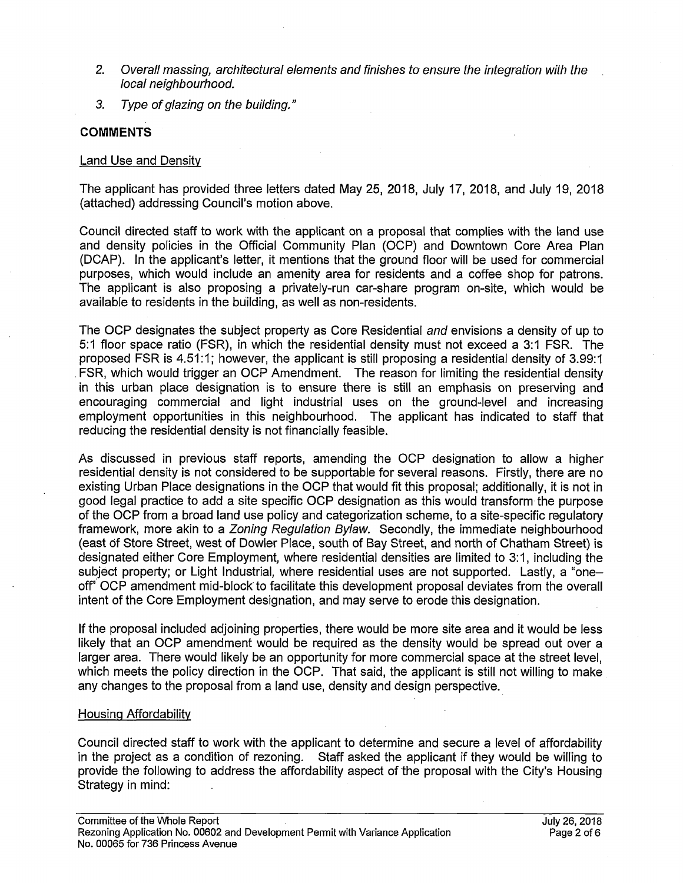- 2. Overall massing, architectural elements and finishes to ensure the integration with the *local neighbourhood.*
- *3. Type of glazing on the building."*

# **COMMENTS**

## Land Use and Density

The applicant has provided three letters dated May 25, 2018, July 17, 2018, and July 19, 2018 (attached) addressing Council's motion above.

Council directed staff to work with the applicant on a proposal that complies with the land use and density policies in the Official Community Plan (OCP) and Downtown Core Area Plan (DCAP). In the applicant's letter, it mentions that the ground floor will be used for commercial purposes, which would include an amenity area for residents and a coffee shop for patrons. The applicant is also proposing a privately-run car-share program on-site, which would be available to residents in the building, as well as non-residents.

The OCP designates the subject property as Core Residential *and* envisions a density of up to 5:1 floor space ratio (FSR), in which the residential density must not exceed a 3:1 FSR. The proposed FSR is 4.51:1; however, the applicant is still proposing a residential density of 3.99:1 . FSR, which would trigger an OCP Amendment. The reason for limiting the residential density in this urban place designation is to ensure there is still an emphasis on preserving and encouraging commercial and light industrial uses on the ground-level and increasing employment opportunities in this neighbourhood. The applicant has indicated to staff that reducing the residential density is not financially feasible.

As discussed in previous staff reports, amending the OCP designation to allow a higher residential density is not considered to be supportable for several reasons. Firstly, there are no existing Urban Place designations in the OCP that would fit this proposal; additionally, it is not in good legal practice to add a site specific OCP designation as this would transform the purpose of the OCP from a broad land use policy and categorization scheme, to a site-specific regulatory framework, more akin to a *Zoning Regulation Bylaw.* Secondly, the immediate neighbourhood (east of Store Street, west of Dowler Place, south of Bay Street, and north of Chatham Street) is designated either Core Employment, where residential densities are limited to 3:1, including the subject property; or Light Industrial, where residential uses are not supported. Lastly, a "oneoff' OCP amendment mid-block to facilitate this development proposal deviates from the overall intent of the Core Employment designation, and may serve to erode this designation.

If the proposal included adjoining properties, there would be more site area and it would be less likely that an OCP amendment would be required as the density would be spread out over a larger area. There would likely be an opportunity for more commercial space at the street level, which meets the policy direction in the OCP. That said, the applicant is still not willing to make any changes to the proposal from a land use, density and design perspective.

# Housing Affordabilitv

Council directed staff to work with the applicant to determine and secure a level of affordability in the project as a condition of rezoning. Staff asked the applicant if they would be willing to provide the following to address the affordability aspect of the proposal with the City's Housing Strategy in mind: .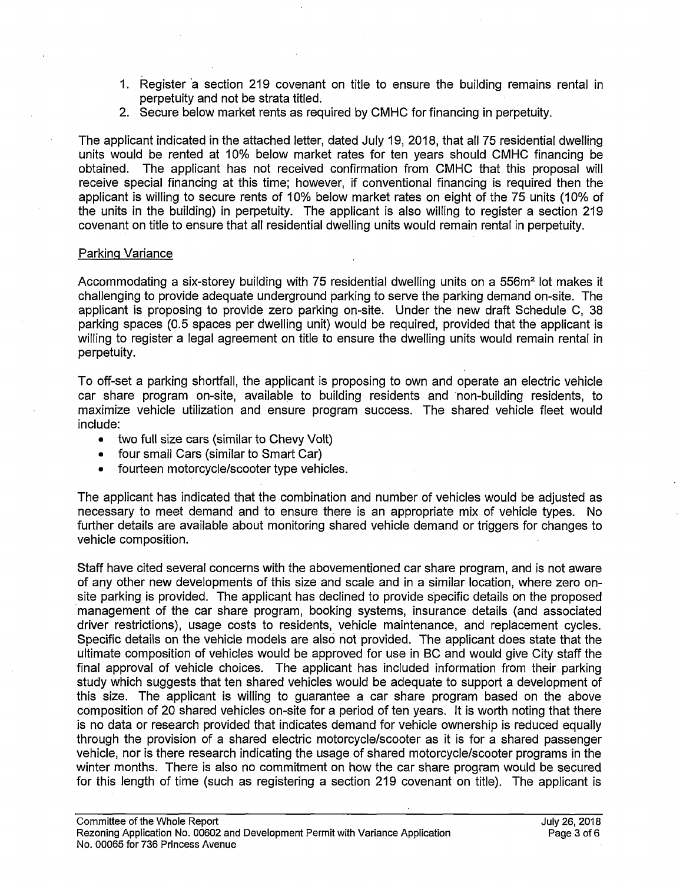- 1. Register a section 219 covenant on title to ensure the building remains rental in perpetuity and not be strata titled.
- 2. Secure below market rents as required by CMHC for financing in perpetuity.

The applicant indicated in the attached letter, dated July 19, 2018, that all 75 residential dwelling units would be rented at 10% below market rates for ten years should CMHC financing be obtained. The applicant has not received confirmation from CMHC that this proposal will receive special financing at this time; however, if conventional financing is required then the applicant is willing to secure rents of 10% below market rates on eight of the 75 units (10% of the units in the building) in perpetuity. The applicant is also willing to register a section 219 covenant on title to ensure that all residential dwelling units would remain rental in perpetuity.

## Parking Variance

Accommodating a six-storey building with 75 residential dwelling units on a 556m<sup>2</sup> lot makes it challenging to provide adequate underground parking to serve the parking demand on-site. The applicant is proposing to provide zero parking on-site. Under the new draft Schedule C, 38 parking spaces (0.5 spaces per dwelling unit) would be required, provided that the applicant is willing to register a legal agreement on title to ensure the dwelling units would remain rental in perpetuity.

To off-set a parking shortfall, the applicant is proposing to own and operate an electric vehicle car share program on-site, available to building residents and non-building residents, to maximize vehicle utilization and ensure program success. The shared vehicle fleet would include:

- two full size cars (similar to Chevy Volt)
- four small Cars (similar to Smart Car)
- fourteen motorcycle/scooter type vehicles.

The applicant has indicated that the combination and number of vehicles would be adjusted as necessary to meet demand and to ensure there is an appropriate mix of vehicle types. No further details are available about monitoring shared vehicle demand or triggers for changes to vehicle composition.

Staff have cited several concerns with the abovementioned car share program, and is not aware of any other new developments of this size and scale and in a similar location, where zero onsite parking is provided. The applicant has declined to provide specific details on the proposed management of the car share program, booking systems, insurance details (and associated driver restrictions), usage costs to residents, vehicle maintenance, and replacement cycles. Specific details on the vehicle models are also not provided. The applicant does state that the ultimate composition of vehicles would be approved for use in BC and would give City staff the final approval of vehicle choices. The applicant has included information from their parking study which suggests that ten shared vehicles would be adequate to support a development of this size. The applicant is willing to guarantee a car share program based on the above composition of 20 shared vehicles on-site for a period of ten years. It is worth noting that there is no data or research provided that indicates demand for vehicle ownership is reduced equally through the provision of a shared electric motorcycle/scooter as it is for a shared passenger vehicle, nor is there research indicating the usage of shared motorcycle/scooter programs in the winter months. There is also no commitment on how the car share program would be secured for this length of time (such as registering a section 219 covenant on title). The applicant is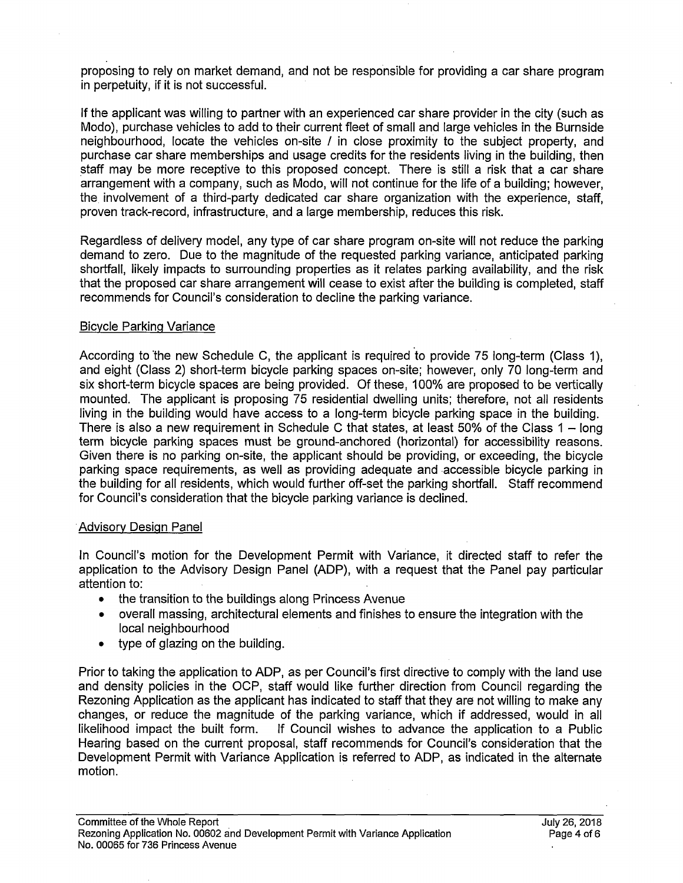proposing to rely on market demand, and not be responsible for providing a car share program in perpetuity, if it is not successful.

If the applicant was willing to partner with an experienced car share provider in the city (such as Modo), purchase vehicles to add to their current fleet of small and large vehicles in the Burnside neighbourhood, locate the vehicles on-site / in close proximity to the subject property, and purchase car share memberships and usage credits for the residents living in the building, then staff may be more receptive to this proposed concept. There is still a risk that a car share arrangement with a company, such as Modo, will not continue for the life of a building; however, the involvement of a third-party dedicated car share organization with the experience, staff, proven track-record, infrastructure, and a large membership, reduces this risk.

Regardless of delivery model, any type of car share program on-site will not reduce the parking demand to zero. Due to the magnitude of the requested parking variance, anticipated parking shortfall, likely impacts to surrounding properties as it relates parking availability, and the risk that the proposed car share arrangement will cease to exist after the building is completed, staff recommends for Council's consideration to decline the parking variance.

# Bicycle Parking Variance

According to the new Schedule C, the applicant is required to provide 75 long-term (Class 1), and eight (Class 2) short-term bicycle parking spaces on-site; however, only 70 long-term and six short-term bicycle spaces are being provided. Of these, 100% are proposed to be vertically mounted. The applicant is proposing 75 residential dwelling units; therefore, not all residents living in the building would have access to a long-term bicycle parking space in the building. There is also a new requirement in Schedule C that states, at least 50% of the Class  $1 - \text{long}$ term bicycle parking spaces must be ground-anchored (horizontal) for accessibility reasons. Given there is no parking on-site, the applicant should be providing, or exceeding, the bicycle parking space requirements, as well as providing adequate and accessible bicycle parking in the building for all residents, which would further off-set the parking shortfall. Staff recommend for Council's consideration that the bicycle parking variance is declined.

# Advisory Design Panel

In Council's motion for the Development Permit with Variance, it directed staff to refer the application to the Advisory Design Panel (ADP), with a request that the Panel pay particular attention to:

- the transition to the buildings along Princess Avenue
- overall massing, architectural elements and finishes to ensure the integration with the local neighbourhood
- type of glazing on the building.

Prior to taking the application to ADP, as per Council's first directive to comply with the land use and density policies in the OCP, staff would like further direction from Council regarding the Rezoning Application as the applicant has indicated to staff that they are not willing to make any changes, or reduce the magnitude of the parking variance, which if addressed, would in all likelihood impact the built form. If Council wishes to advance the application to a Public Hearing based on the current proposal, staff recommends for Council's consideration that the Development Permit with Variance Application is referred to ADP, as indicated in the alternate motion.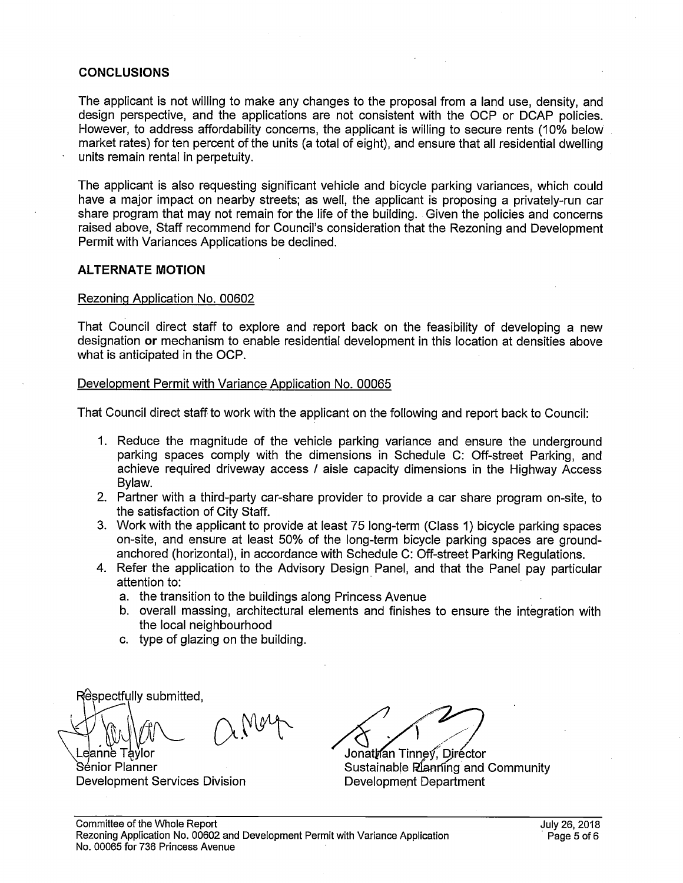### **CONCLUSIONS**

The applicant is not willing to make any changes to the proposal from a land use, density, and design perspective, and the applications are not consistent with the OCP or DCAP policies. However, to address affordability concerns, the applicant is willing to secure rents (10% below market rates) for ten percent of the units (a total of eight), and ensure that all residential dwelling units remain rental in perpetuity.

The applicant is also requesting significant vehicle and bicycle parking variances, which could have a major impact on nearby streets; as well, the applicant is proposing a privately-run car share program that may not remain for the life of the building. Given the policies and concerns raised above, Staff recommend for Council's consideration that the Rezoning and Development Permit with Variances Applications be declined.

### **ALTERNATE MOTION**

#### Rezoning Application No. 00602

That Council direct staff to explore and report back on the feasibility of developing a new designation **or** mechanism to enable residential development in this location at densities above what is anticipated in the OCP.

### Development Permit with Variance Application No. 00065

That Council direct staff to work with the applicant on the following and report back to Council:

- 1. Reduce the magnitude of the vehicle parking variance and ensure the underground parking spaces comply with the dimensions in Schedule C: Off-street Parking, and achieve required driveway access / aisle capacity dimensions in the Highway Access Bylaw.
- 2. Partner with a third-party car-share provider to provide a car share program on-site, to the satisfaction of City Staff.
- 3. Work with the applicant to provide at least 75 long-term (Class 1) bicycle parking spaces on-site, and ensure at least 50% of the long-term bicycle parking spaces are groundanchored (horizontal), in accordance with Schedule C: Off-street Parking Regulations.
- 4. Refer the application to the Advisory Design Panel, and that the Panel pay particular attention to:
	- a. the transition to the buildings along Princess Avenue
	- b. overall massing, architectural elements and finishes to ensure the integration with the local neighbourhood
	- c. type of glazing on the building.

Respectfully submitted, anne Taylor

Sénior Planner Development Services Division Development Department

Jonathan Tinney, Diréctor Sustainable Planning and Community